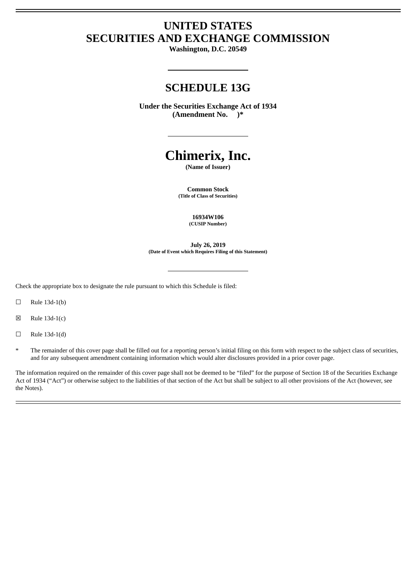# **UNITED STATES SECURITIES AND EXCHANGE COMMISSION**

**Washington, D.C. 20549**

# **SCHEDULE 13G**

**Under the Securities Exchange Act of 1934 (Amendment No. )\***

# **Chimerix, Inc.**

**(Name of Issuer)**

**Common Stock (Title of Class of Securities)**

> **16934W106 (CUSIP Number)**

**July 26, 2019 (Date of Event which Requires Filing of this Statement)**

Check the appropriate box to designate the rule pursuant to which this Schedule is filed:

 $\Box$  Rule 13d-1(b)

- $\boxtimes$  Rule 13d-1(c)
- $\Box$  Rule 13d-1(d)
- \* The remainder of this cover page shall be filled out for a reporting person's initial filing on this form with respect to the subject class of securities, and for any subsequent amendment containing information which would alter disclosures provided in a prior cover page.

The information required on the remainder of this cover page shall not be deemed to be "filed" for the purpose of Section 18 of the Securities Exchange Act of 1934 ("Act") or otherwise subject to the liabilities of that section of the Act but shall be subject to all other provisions of the Act (however, see the Notes).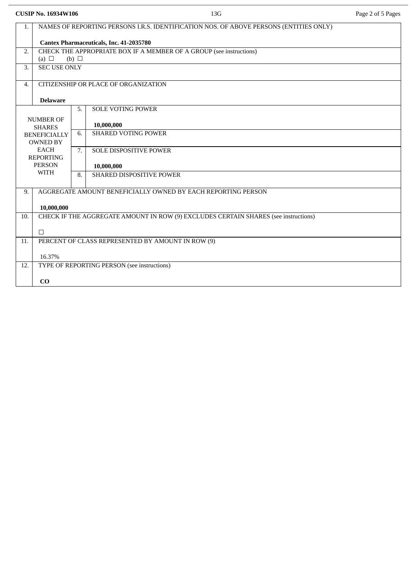**CUSIP No. 16934W106** 13G Page 2 of 5 Pages

| 1.                             | NAMES OF REPORTING PERSONS I.R.S. IDENTIFICATION NOS. OF ABOVE PERSONS (ENTITIES ONLY) |    |                                                              |  |
|--------------------------------|----------------------------------------------------------------------------------------|----|--------------------------------------------------------------|--|
|                                | Cantex Pharmaceuticals, Inc. 41-2035780                                                |    |                                                              |  |
| 2.                             | CHECK THE APPROPRIATE BOX IF A MEMBER OF A GROUP (see instructions)                    |    |                                                              |  |
| $\overline{3}$ .               | (a) $\Box$<br>(b) $\Box$<br><b>SEC USE ONLY</b>                                        |    |                                                              |  |
|                                |                                                                                        |    |                                                              |  |
| $\overline{4}$ .               | CITIZENSHIP OR PLACE OF ORGANIZATION                                                   |    |                                                              |  |
|                                | <b>Delaware</b>                                                                        |    |                                                              |  |
|                                |                                                                                        | 5. | <b>SOLE VOTING POWER</b>                                     |  |
|                                | <b>NUMBER OF</b>                                                                       |    |                                                              |  |
|                                | <b>SHARES</b>                                                                          |    | 10,000,000                                                   |  |
| <b>BENEFICIALLY</b>            |                                                                                        | 6. | <b>SHARED VOTING POWER</b>                                   |  |
| <b>OWNED BY</b><br><b>EACH</b> |                                                                                        | 7. | SOLE DISPOSITIVE POWER                                       |  |
| <b>REPORTING</b>               |                                                                                        |    |                                                              |  |
| <b>PERSON</b>                  |                                                                                        |    | 10,000,000                                                   |  |
| <b>WITH</b>                    |                                                                                        | 8. | <b>SHARED DISPOSITIVE POWER</b>                              |  |
| 9.                             |                                                                                        |    | AGGREGATE AMOUNT BENEFICIALLY OWNED BY EACH REPORTING PERSON |  |
|                                |                                                                                        |    |                                                              |  |
|                                | 10,000,000                                                                             |    |                                                              |  |
| 10.                            | CHECK IF THE AGGREGATE AMOUNT IN ROW (9) EXCLUDES CERTAIN SHARES (see instructions)    |    |                                                              |  |
|                                | $\Box$                                                                                 |    |                                                              |  |
| 11.                            | PERCENT OF CLASS REPRESENTED BY AMOUNT IN ROW (9)                                      |    |                                                              |  |
|                                |                                                                                        |    |                                                              |  |
|                                | 16.37%                                                                                 |    |                                                              |  |
| 12.                            | TYPE OF REPORTING PERSON (see instructions)                                            |    |                                                              |  |
|                                | CO                                                                                     |    |                                                              |  |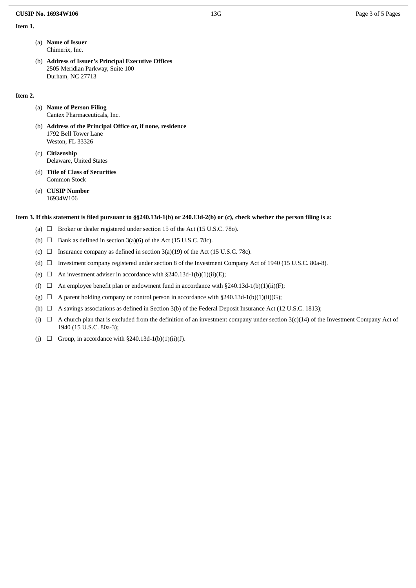#### **CUSIP No. 16934W106** 13G Page 3 of 5 Pages

### **Item 1.**

- (a) **Name of Issuer** Chimerix, Inc.
- (b) **Address of Issuer's Principal Executive Offices** 2505 Meridian Parkway, Suite 100 Durham, NC 27713

#### **Item 2.**

(a) **Name of Person Filing** Cantex Pharmaceuticals, Inc.

- (b) **Address of the Principal Office or, if none, residence** 1792 Bell Tower Lane Weston, FL 33326
- (c) **Citizenship** Delaware, United States
- (d) **Title of Class of Securities** Common Stock
- (e) **CUSIP Number** 16934W106

#### Item 3. If this statement is filed pursuant to §§240.13d-1(b) or 240.13d-2(b) or (c), check whether the person filing is a:

- (a)  $\Box$  Broker or dealer registered under section 15 of the Act (15 U.S.C. 780).
- (b)  $\Box$  Bank as defined in section 3(a)(6) of the Act (15 U.S.C. 78c).
- (c)  $\Box$  Insurance company as defined in section 3(a)(19) of the Act (15 U.S.C. 78c).
- (d) ☐ Investment company registered under section 8 of the Investment Company Act of 1940 (15 U.S.C. 80a-8).
- (e)  $\Box$  An investment adviser in accordance with §240.13d-1(b)(1)(ii)(E);
- (f)  $\Box$  An employee benefit plan or endowment fund in accordance with §240.13d-1(b)(1)(ii)(F);
- (g)  $\Box$  A parent holding company or control person in accordance with §240.13d-1(b)(1)(ii)(G);
- (h)  $\Box$  A savings associations as defined in Section 3(b) of the Federal Deposit Insurance Act (12 U.S.C. 1813);
- (i)  $□$  A church plan that is excluded from the definition of an investment company under section 3(c)(14) of the Investment Company Act of 1940 (15 U.S.C. 80a-3);
- (j)  $\Box$  Group, in accordance with §240.13d-1(b)(1)(ii)(J).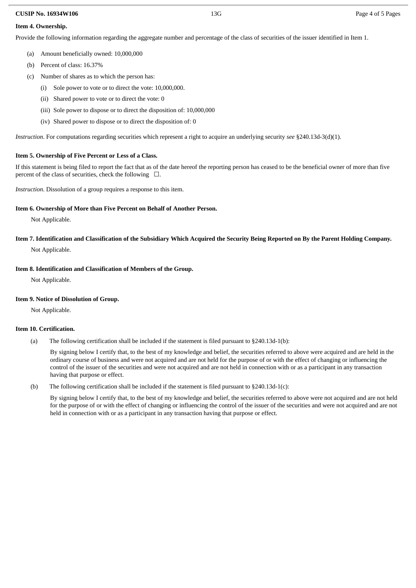### **CUSIP No. 16934W106** 13G Page 4 of 5 Pages

# **Item 4. Ownership.**

Provide the following information regarding the aggregate number and percentage of the class of securities of the issuer identified in Item 1.

- (a) Amount beneficially owned: 10,000,000
- (b) Percent of class: 16.37%
- (c) Number of shares as to which the person has:
	- (i) Sole power to vote or to direct the vote: 10,000,000.
	- (ii) Shared power to vote or to direct the vote: 0
	- (iii) Sole power to dispose or to direct the disposition of: 10,000,000
	- (iv) Shared power to dispose or to direct the disposition of: 0

*Instruction*. For computations regarding securities which represent a right to acquire an underlying security *see* §240.13d-3(d)(1).

# **Item 5. Ownership of Five Percent or Less of a Class.**

If this statement is being filed to report the fact that as of the date hereof the reporting person has ceased to be the beneficial owner of more than five percent of the class of securities, check the following  $\Box$ .

*Instruction*. Dissolution of a group requires a response to this item.

# **Item 6. Ownership of More than Five Percent on Behalf of Another Person.**

Not Applicable.

Item 7. Identification and Classification of the Subsidiary Which Acquired the Security Being Reported on By the Parent Holding Company. Not Applicable.

# **Item 8. Identification and Classification of Members of the Group.**

Not Applicable.

## **Item 9. Notice of Dissolution of Group.**

Not Applicable.

## **Item 10. Certification.**

(a) The following certification shall be included if the statement is filed pursuant to §240.13d-1(b):

By signing below I certify that, to the best of my knowledge and belief, the securities referred to above were acquired and are held in the ordinary course of business and were not acquired and are not held for the purpose of or with the effect of changing or influencing the control of the issuer of the securities and were not acquired and are not held in connection with or as a participant in any transaction having that purpose or effect.

(b) The following certification shall be included if the statement is filed pursuant to §240.13d-1(c):

By signing below I certify that, to the best of my knowledge and belief, the securities referred to above were not acquired and are not held for the purpose of or with the effect of changing or influencing the control of the issuer of the securities and were not acquired and are not held in connection with or as a participant in any transaction having that purpose or effect.